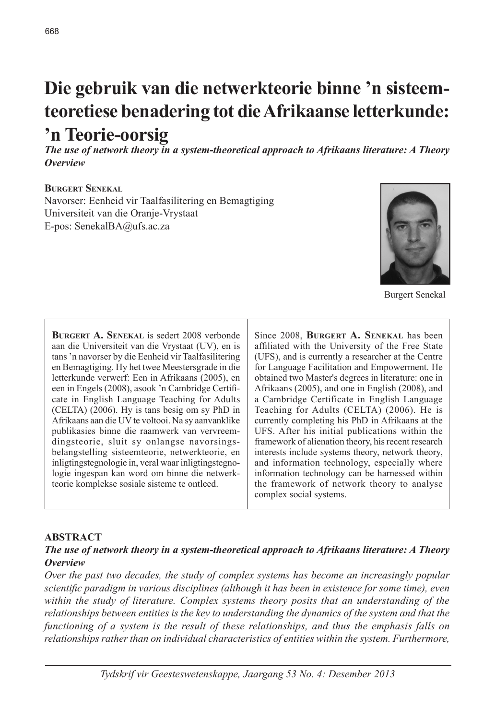# **Die gebruik van die netwerkteorie binne 'n sisteemteoretiese benadering tot die Afrikaanse letterkunde: 'n Teorie-oorsig**

*The use of network theory in a system-theoretical approach to Afrikaans literature: A Theory Overview*

#### **Burgert Senekal**

Navorser: Eenheid vir Taalfasilitering en Bemagtiging Universiteit van die Oranje-Vrystaat E-pos: SenekalBA@ufs.ac.za



Burgert Senekal

**Burgert A. Senekal** is sedert 2008 verbonde aan die Universiteit van die Vrystaat (UV), en is tans 'n navorser by die Eenheid vir Taalfasilitering en Bemagtiging. Hy het twee Meestersgrade in die letterkunde verwerf: Een in Afrikaans (2005), en een in Engels (2008), asook 'n Cambridge Certificate in English Language Teaching for Adults (CELTA) (2006). Hy is tans besig om sy PhD in Afrikaans aan die UV te voltooi. Na sy aanvanklike publikasies binne die raamwerk van vervreemdingsteorie, sluit sy onlangse navorsingsbelangstelling sisteemteorie, netwerkteorie, en inligtingstegnologie in, veral waar inligtingstegnologie ingespan kan word om binne die netwerkteorie komplekse sosiale sisteme te ontleed.

Since 2008, **Burgert A. Senekal** has been affiliated with the University of the Free State (UFS), and is currently a researcher at the Centre for Language Facilitation and Empowerment. He obtained two Master's degrees in literature: one in Afrikaans (2005), and one in English (2008), and a Cambridge Certificate in English Language Teaching for Adults (CELTA) (2006). He is currently completing his PhD in Afrikaans at the UFS. After his initial publications within the framework of alienation theory, his recent research interests include systems theory, network theory, and information technology, especially where information technology can be harnessed within the framework of network theory to analyse complex social systems.

#### **ABSTRACT**

#### *The use of network theory in a system-theoretical approach to Afrikaans literature: A Theory Overview*

*Over the past two decades, the study of complex systems has become an increasingly popular scientific paradigm in various disciplines (although it has been in existence for some time), even within the study of literature. Complex systems theory posits that an understanding of the relationships between entities is the key to understanding the dynamics of the system and that the functioning of a system is the result of these relationships, and thus the emphasis falls on relationships rather than on individual characteristics of entities within the system. Furthermore,*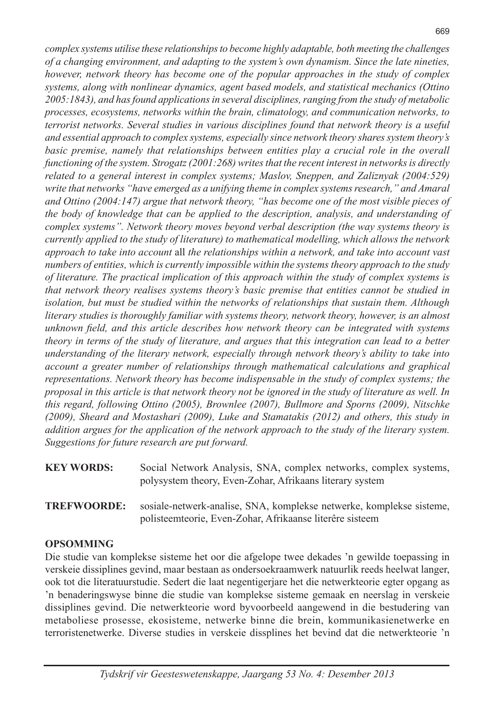*complex systems utilise these relationships to become highly adaptable, both meeting the challenges of a changing environment, and adapting to the system's own dynamism. Since the late nineties, however, network theory has become one of the popular approaches in the study of complex systems, along with nonlinear dynamics, agent based models, and statistical mechanics (Ottino 2005:1843), and has found applications in several disciplines, ranging from the study of metabolic processes, ecosystems, networks within the brain, climatology, and communication networks, to terrorist networks. Several studies in various disciplines found that network theory is a useful and essential approach to complex systems, especially since network theory shares system theory's*  basic premise, namely that relationships between entities play a crucial role in the overall *functioning of the system. Strogatz (2001:268) writes that the recent interest in networks is directly related to a general interest in complex systems; Maslov, Sneppen, and Zaliznyak (2004:529) write that networks "have emerged as a unifying theme in complex systems research," and Amaral and Ottino (2004:147) argue that network theory, "has become one of the most visible pieces of the body of knowledge that can be applied to the description, analysis, and understanding of complex systems". Network theory moves beyond verbal description (the way systems theory is currently applied to the study of literature) to mathematical modelling, which allows the network approach to take into account* all *the relationships within a network, and take into account vast numbers of entities, which is currently impossible within the systems theory approach to the study of literature. The practical implication of this approach within the study of complex systems is that network theory realises systems theory's basic premise that entities cannot be studied in isolation, but must be studied within the networks of relationships that sustain them. Although literary studies is thoroughly familiar with systems theory, network theory, however, is an almost unknown field, and this article describes how network theory can be integrated with systems theory in terms of the study of literature, and argues that this integration can lead to a better understanding of the literary network, especially through network theory's ability to take into account a greater number of relationships through mathematical calculations and graphical representations. Network theory has become indispensable in the study of complex systems; the proposal in this article is that network theory not be ignored in the study of literature as well. In this regard, following Ottino (2005), Brownlee (2007), Bullmore and Sporns (2009), Nitschke (2009), Sheard and Mostashari (2009), Luke and Stamatakis (2012) and others, this study in addition argues for the application of the network approach to the study of the literary system. Suggestions for future research are put forward.*

| <b>KEY WORDS:</b> | Social Network Analysis, SNA, complex networks, complex systems, |
|-------------------|------------------------------------------------------------------|
|                   | polysystem theory, Even-Zohar, Afrikaans literary system         |

**TREFWOORDE:** sosiale-netwerk-analise, SNA, komplekse netwerke, komplekse sisteme, polisteemteorie, Even-Zohar, Afrikaanse literêre sisteem

## **OPSOMMING**

Die studie van komplekse sisteme het oor die afgelope twee dekades 'n gewilde toepassing in verskeie dissiplines gevind, maar bestaan as ondersoekraamwerk natuurlik reeds heelwat langer, ook tot die literatuurstudie. Sedert die laat negentigerjare het die netwerkteorie egter opgang as 'n benaderingswyse binne die studie van komplekse sisteme gemaak en neerslag in verskeie dissiplines gevind. Die netwerkteorie word byvoorbeeld aangewend in die bestudering van metaboliese prosesse, ekosisteme, netwerke binne die brein, kommunikasienetwerke en terroristenetwerke. Diverse studies in verskeie dissplines het bevind dat die netwerkteorie 'n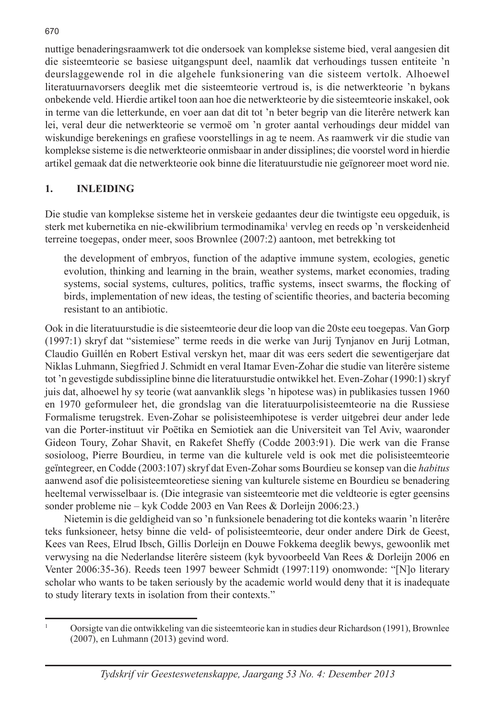nuttige benaderingsraamwerk tot die ondersoek van komplekse sisteme bied, veral aangesien dit die sisteemteorie se basiese uitgangspunt deel, naamlik dat verhoudings tussen entiteite 'n deurslaggewende rol in die algehele funksionering van die sisteem vertolk. Alhoewel literatuurnavorsers deeglik met die sisteemteorie vertroud is, is die netwerkteorie 'n bykans onbekende veld. Hierdie artikel toon aan hoe die netwerkteorie by die sisteemteorie inskakel, ook in terme van die letterkunde, en voer aan dat dit tot 'n beter begrip van die literêre netwerk kan lei, veral deur die netwerkteorie se vermoë om 'n groter aantal verhoudings deur middel van wiskundige berekenings en grafiese voorstellings in ag te neem. As raamwerk vir die studie van komplekse sisteme is die netwerkteorie onmisbaar in ander dissiplines; die voorstel word in hierdie artikel gemaak dat die netwerkteorie ook binne die literatuurstudie nie geïgnoreer moet word nie.

## **1. INLEIDING**

Die studie van komplekse sisteme het in verskeie gedaantes deur die twintigste eeu opgeduik, is sterk met kubernetika en nie-ekwilibrium termodinamika<sup>1</sup> vervleg en reeds op 'n verskeidenheid terreine toegepas, onder meer, soos Brownlee (2007:2) aantoon, met betrekking tot

the development of embryos, function of the adaptive immune system, ecologies, genetic evolution, thinking and learning in the brain, weather systems, market economies, trading systems, social systems, cultures, politics, traffic systems, insect swarms, the flocking of birds, implementation of new ideas, the testing of scientific theories, and bacteria becoming resistant to an antibiotic.

Ook in die literatuurstudie is die sisteemteorie deur die loop van die 20ste eeu toegepas. Van Gorp (1997:1) skryf dat "sistemiese" terme reeds in die werke van Jurij Tynjanov en Jurij Lotman, Claudio Guillén en Robert Estival verskyn het, maar dit was eers sedert die sewentigerjare dat Niklas Luhmann, Siegfried J. Schmidt en veral Itamar Even-Zohar die studie van literêre sisteme tot 'n gevestigde subdissipline binne die literatuurstudie ontwikkel het. Even-Zohar (1990:1) skryf juis dat, alhoewel hy sy teorie (wat aanvanklik slegs 'n hipotese was) in publikasies tussen 1960 en 1970 geformuleer het, die grondslag van die literatuurpolisisteemteorie na die Russiese Formalisme terugstrek. Even-Zohar se polisisteemhipotese is verder uitgebrei deur ander lede van die Porter-instituut vir Poëtika en Semiotiek aan die Universiteit van Tel Aviv, waaronder Gideon Toury, Zohar Shavit, en Rakefet Sheffy (Codde 2003:91). Die werk van die Franse sosioloog, Pierre Bourdieu, in terme van die kulturele veld is ook met die polisisteemteorie geïntegreer, en Codde (2003:107) skryf dat Even-Zohar soms Bourdieu se konsep van die *habitus* aanwend asof die polisisteemteoretiese siening van kulturele sisteme en Bourdieu se benadering heeltemal verwisselbaar is. (Die integrasie van sisteemteorie met die veldteorie is egter geensins sonder probleme nie – kyk Codde 2003 en Van Rees & Dorleijn 2006:23.)

Nietemin is die geldigheid van so 'n funksionele benadering tot die konteks waarin 'n literêre teks funksioneer, hetsy binne die veld- of polisisteemteorie, deur onder andere Dirk de Geest, Kees van Rees, Elrud Ibsch, Gillis Dorleijn en Douwe Fokkema deeglik bewys, gewoonlik met verwysing na die Nederlandse literêre sisteem (kyk byvoorbeeld Van Rees & Dorleijn 2006 en Venter 2006:35-36). Reeds teen 1997 beweer Schmidt (1997:119) onomwonde: "[N]o literary scholar who wants to be taken seriously by the academic world would deny that it is inadequate to study literary texts in isolation from their contexts."

<sup>1</sup> Oorsigte van die ontwikkeling van die sisteemteorie kan in studies deur Richardson (1991), Brownlee (2007), en Luhmann (2013) gevind word.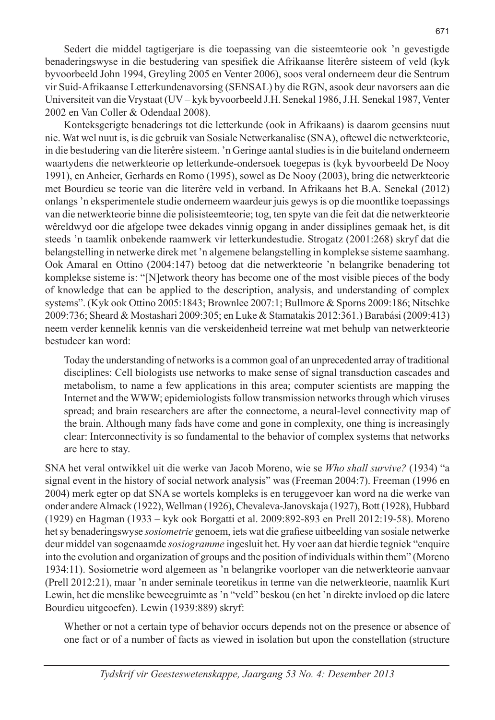Sedert die middel tagtigerjare is die toepassing van die sisteemteorie ook 'n gevestigde benaderingswyse in die bestudering van spesifiek die Afrikaanse literêre sisteem of veld (kyk byvoorbeeld John 1994, Greyling 2005 en Venter 2006), soos veral onderneem deur die Sentrum vir Suid-Afrikaanse Letterkundenavorsing (SENSAL) by die RGN, asook deur navorsers aan die Universiteit van die Vrystaat (UV – kyk byvoorbeeld J.H. Senekal 1986, J.H. Senekal 1987, Venter 2002 en Van Coller & Odendaal 2008).

Konteksgerigte benaderings tot die letterkunde (ook in Afrikaans) is daarom geensins nuut nie. Wat wel nuut is, is die gebruik van Sosiale Netwerkanalise (SNA), oftewel die netwerkteorie, in die bestudering van die literêre sisteem. 'n Geringe aantal studies is in die buiteland onderneem waartydens die netwerkteorie op letterkunde-ondersoek toegepas is (kyk byvoorbeeld De Nooy 1991), en Anheier, Gerhards en Romo (1995), sowel as De Nooy (2003), bring die netwerkteorie met Bourdieu se teorie van die literêre veld in verband. In Afrikaans het B.A. Senekal (2012) onlangs 'n eksperimentele studie onderneem waardeur juis gewys is op die moontlike toepassings van die netwerkteorie binne die polisisteemteorie; tog, ten spyte van die feit dat die netwerkteorie wêreldwyd oor die afgelope twee dekades vinnig opgang in ander dissiplines gemaak het, is dit steeds 'n taamlik onbekende raamwerk vir letterkundestudie. Strogatz (2001:268) skryf dat die belangstelling in netwerke direk met 'n algemene belangstelling in komplekse sisteme saamhang. Ook Amaral en Ottino (2004:147) betoog dat die netwerkteorie 'n belangrike benadering tot komplekse sisteme is: "[N]etwork theory has become one of the most visible pieces of the body of knowledge that can be applied to the description, analysis, and understanding of complex systems". (Kyk ook Ottino 2005:1843; Brownlee 2007:1; Bullmore & Sporns 2009:186; Nitschke 2009:736; Sheard & Mostashari 2009:305; en Luke & Stamatakis 2012:361.) Barabási (2009:413) neem verder kennelik kennis van die verskeidenheid terreine wat met behulp van netwerkteorie bestudeer kan word:

Today the understanding of networks is a common goal of an unprecedented array of traditional disciplines: Cell biologists use networks to make sense of signal transduction cascades and metabolism, to name a few applications in this area; computer scientists are mapping the Internet and the WWW; epidemiologists follow transmission networks through which viruses spread; and brain researchers are after the connectome, a neural-level connectivity map of the brain. Although many fads have come and gone in complexity, one thing is increasingly clear: Interconnectivity is so fundamental to the behavior of complex systems that networks are here to stay.

SNA het veral ontwikkel uit die werke van Jacob Moreno, wie se *Who shall survive?* (1934) "a signal event in the history of social network analysis" was (Freeman 2004:7). Freeman (1996 en 2004) merk egter op dat SNA se wortels kompleks is en teruggevoer kan word na die werke van onder andere Almack (1922), Wellman (1926), Chevaleva-Janovskaja (1927), Bott (1928), Hubbard (1929) en Hagman (1933 – kyk ook Borgatti et al. 2009:892-893 en Prell 2012:19-58). Moreno het sy benaderingswyse *sosiometrie* genoem, iets wat die grafiese uitbeelding van sosiale netwerke deur middel van sogenaamde *sosiogramme* ingesluit het. Hy voer aan dat hierdie tegniek "enquire into the evolution and organization of groups and the position of individuals within them" (Moreno 1934:11). Sosiometrie word algemeen as 'n belangrike voorloper van die netwerkteorie aanvaar (Prell 2012:21), maar 'n ander seminale teoretikus in terme van die netwerkteorie, naamlik Kurt Lewin, het die menslike beweegruimte as 'n "veld" beskou (en het 'n direkte invloed op die latere Bourdieu uitgeoefen). Lewin (1939:889) skryf:

Whether or not a certain type of behavior occurs depends not on the presence or absence of one fact or of a number of facts as viewed in isolation but upon the constellation (structure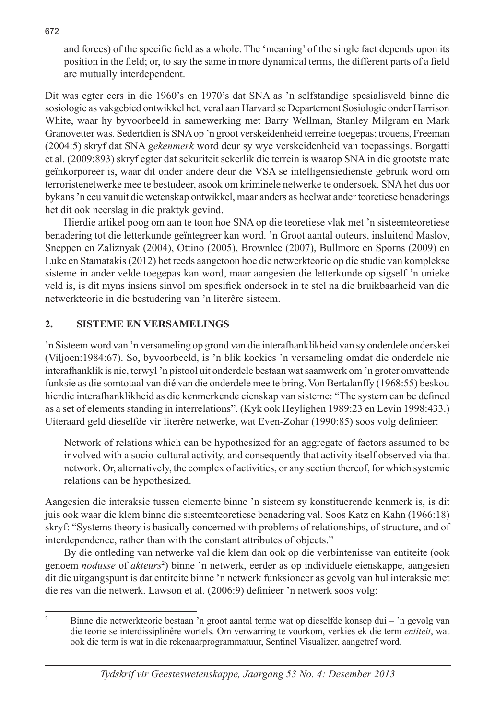and forces) of the specific field as a whole. The 'meaning' of the single fact depends upon its position in the field; or, to say the same in more dynamical terms, the different parts of a field are mutually interdependent.

Dit was egter eers in die 1960's en 1970's dat SNA as 'n selfstandige spesialisveld binne die sosiologie as vakgebied ontwikkel het, veral aan Harvard se Departement Sosiologie onder Harrison White, waar hy byvoorbeeld in samewerking met Barry Wellman, Stanley Milgram en Mark Granovetter was. Sedertdien is SNA op 'n groot verskeidenheid terreine toegepas; trouens, Freeman (2004:5) skryf dat SNA *gekenmerk* word deur sy wye verskeidenheid van toepassings. Borgatti et al. (2009:893) skryf egter dat sekuriteit sekerlik die terrein is waarop SNA in die grootste mate geïnkorporeer is, waar dit onder andere deur die VSA se intelligensiedienste gebruik word om terroristenetwerke mee te bestudeer, asook om kriminele netwerke te ondersoek. SNA het dus oor bykans 'n eeu vanuit die wetenskap ontwikkel, maar anders as heelwat ander teoretiese benaderings het dit ook neerslag in die praktyk gevind.

Hierdie artikel poog om aan te toon hoe SNA op die teoretiese vlak met 'n sisteemteoretiese benadering tot die letterkunde geïntegreer kan word. 'n Groot aantal outeurs, insluitend Maslov, Sneppen en Zaliznyak (2004), Ottino (2005), Brownlee (2007), Bullmore en Sporns (2009) en Luke en Stamatakis (2012) het reeds aangetoon hoe die netwerkteorie op die studie van komplekse sisteme in ander velde toegepas kan word, maar aangesien die letterkunde op sigself 'n unieke veld is, is dit myns insiens sinvol om spesifiek ondersoek in te stel na die bruikbaarheid van die netwerkteorie in die bestudering van 'n literêre sisteem.

#### **2. SISTEME EN VERSAMELINGS**

'n Sisteem word van 'n versameling op grond van die interafhanklikheid van sy onderdele onderskei (Viljoen:1984:67). So, byvoorbeeld, is 'n blik koekies 'n versameling omdat die onderdele nie interafhanklik is nie, terwyl 'n pistool uit onderdele bestaan wat saamwerk om 'n groter omvattende funksie as die somtotaal van dié van die onderdele mee te bring. Von Bertalanffy (1968:55) beskou hierdie interafhanklikheid as die kenmerkende eienskap van sisteme: "The system can be defined as a set of elements standing in interrelations". (Kyk ook Heylighen 1989:23 en Levin 1998:433.) Uiteraard geld dieselfde vir literêre netwerke, wat Even-Zohar (1990:85) soos volg definieer:

Network of relations which can be hypothesized for an aggregate of factors assumed to be involved with a socio-cultural activity, and consequently that activity itself observed via that network. Or, alternatively, the complex of activities, or any section thereof, for which systemic relations can be hypothesized.

Aangesien die interaksie tussen elemente binne 'n sisteem sy konstituerende kenmerk is, is dit juis ook waar die klem binne die sisteemteoretiese benadering val. Soos Katz en Kahn (1966:18) skryf: "Systems theory is basically concerned with problems of relationships, of structure, and of interdependence, rather than with the constant attributes of objects."

By die ontleding van netwerke val die klem dan ook op die verbintenisse van entiteite (ook genoem *nodusse* of *akteurs*<sup>2</sup> ) binne 'n netwerk, eerder as op individuele eienskappe, aangesien dit die uitgangspunt is dat entiteite binne 'n netwerk funksioneer as gevolg van hul interaksie met die res van die netwerk. Lawson et al. (2006:9) definieer 'n netwerk soos volg:

<sup>2</sup> Binne die netwerkteorie bestaan 'n groot aantal terme wat op dieselfde konsep dui – 'n gevolg van die teorie se interdissiplinêre wortels. Om verwarring te voorkom, verkies ek die term *entiteit*, wat ook die term is wat in die rekenaarprogrammatuur, Sentinel Visualizer, aangetref word.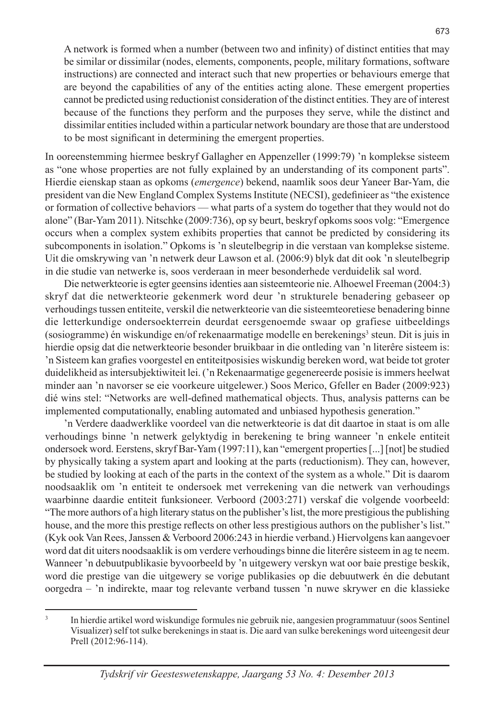A network is formed when a number (between two and infinity) of distinct entities that may be similar or dissimilar (nodes, elements, components, people, military formations, software instructions) are connected and interact such that new properties or behaviours emerge that are beyond the capabilities of any of the entities acting alone. These emergent properties cannot be predicted using reductionist consideration of the distinct entities. They are of interest because of the functions they perform and the purposes they serve, while the distinct and dissimilar entities included within a particular network boundary are those that are understood to be most significant in determining the emergent properties.

In ooreenstemming hiermee beskryf Gallagher en Appenzeller (1999:79) 'n komplekse sisteem as "one whose properties are not fully explained by an understanding of its component parts". Hierdie eienskap staan as opkoms (*emergence*) bekend, naamlik soos deur Yaneer Bar-Yam, die president van die New England Complex Systems Institute (NECSI), gedefinieer as "the existence or formation of collective behaviors — what parts of a system do together that they would not do alone" (Bar-Yam 2011). Nitschke (2009:736), op sy beurt, beskryf opkoms soos volg: "Emergence occurs when a complex system exhibits properties that cannot be predicted by considering its subcomponents in isolation." Opkoms is 'n sleutelbegrip in die verstaan van komplekse sisteme. Uit die omskrywing van 'n netwerk deur Lawson et al. (2006:9) blyk dat dit ook 'n sleutelbegrip in die studie van netwerke is, soos verderaan in meer besonderhede verduidelik sal word.

Die netwerkteorie is egter geensins identies aan sisteemteorie nie. Alhoewel Freeman (2004:3) skryf dat die netwerkteorie gekenmerk word deur 'n strukturele benadering gebaseer op verhoudings tussen entiteite, verskil die netwerkteorie van die sisteemteoretiese benadering binne die letterkundige ondersoekterrein deurdat eersgenoemde swaar op grafiese uitbeeldings (sosiogramme) én wiskundige en/of rekenaarmatige modelle en berekenings<sup>3</sup> steun. Dit is juis in hierdie opsig dat die netwerkteorie besonder bruikbaar in die ontleding van 'n literêre sisteem is: 'n Sisteem kan grafies voorgestel en entiteitposisies wiskundig bereken word, wat beide tot groter duidelikheid as intersubjektiwiteit lei. ('n Rekenaarmatige gegenereerde posisie is immers heelwat minder aan 'n navorser se eie voorkeure uitgelewer.) Soos Merico, Gfeller en Bader (2009:923) dié wins stel: "Networks are well-defined mathematical objects. Thus, analysis patterns can be implemented computationally, enabling automated and unbiased hypothesis generation."

'n Verdere daadwerklike voordeel van die netwerkteorie is dat dit daartoe in staat is om alle verhoudings binne 'n netwerk gelyktydig in berekening te bring wanneer 'n enkele entiteit ondersoek word. Eerstens, skryf Bar-Yam (1997:11), kan "emergent properties [...] [not] be studied by physically taking a system apart and looking at the parts (reductionism). They can, however, be studied by looking at each of the parts in the context of the system as a whole." Dit is daarom noodsaaklik om 'n entiteit te ondersoek met verrekening van die netwerk van verhoudings waarbinne daardie entiteit funksioneer. Verboord (2003:271) verskaf die volgende voorbeeld: "The more authors of a high literary status on the publisher's list, the more prestigious the publishing house, and the more this prestige reflects on other less prestigious authors on the publisher's list." (Kyk ook Van Rees, Janssen & Verboord 2006:243 in hierdie verband.) Hiervolgens kan aangevoer word dat dit uiters noodsaaklik is om verdere verhoudings binne die literêre sisteem in ag te neem. Wanneer 'n debuutpublikasie byvoorbeeld by 'n uitgewery verskyn wat oor baie prestige beskik, word die prestige van die uitgewery se vorige publikasies op die debuutwerk én die debutant oorgedra – 'n indirekte, maar tog relevante verband tussen 'n nuwe skrywer en die klassieke

<sup>3</sup> In hierdie artikel word wiskundige formules nie gebruik nie, aangesien programmatuur (soos Sentinel Visualizer) self tot sulke berekenings in staat is. Die aard van sulke berekenings word uiteengesit deur Prell (2012:96-114).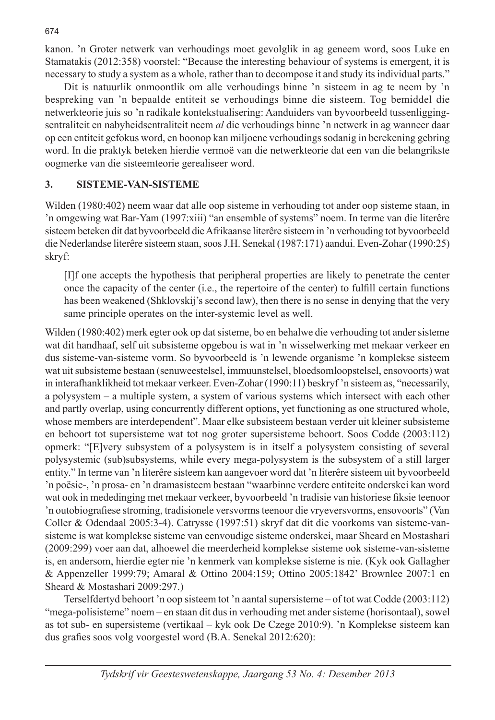kanon. 'n Groter netwerk van verhoudings moet gevolglik in ag geneem word, soos Luke en Stamatakis (2012:358) voorstel: "Because the interesting behaviour of systems is emergent, it is necessary to study a system as a whole, rather than to decompose it and study its individual parts."

Dit is natuurlik onmoontlik om alle verhoudings binne 'n sisteem in ag te neem by 'n bespreking van 'n bepaalde entiteit se verhoudings binne die sisteem. Tog bemiddel die netwerkteorie juis so 'n radikale kontekstualisering: Aanduiders van byvoorbeeld tussenliggingsentraliteit en nabyheidsentraliteit neem *al* die verhoudings binne 'n netwerk in ag wanneer daar op een entiteit gefokus word, en boonop kan miljoene verhoudings sodanig in berekening gebring word. In die praktyk beteken hierdie vermoë van die netwerkteorie dat een van die belangrikste oogmerke van die sisteemteorie gerealiseer word.

#### **3. SISTEME-VAN-SISTEME**

Wilden (1980:402) neem waar dat alle oop sisteme in verhouding tot ander oop sisteme staan, in 'n omgewing wat Bar-Yam (1997:xiii) "an ensemble of systems" noem. In terme van die literêre sisteem beteken dit dat byvoorbeeld die Afrikaanse literêre sisteem in 'n verhouding tot byvoorbeeld die Nederlandse literêre sisteem staan, soos J.H. Senekal (1987:171) aandui. Even-Zohar (1990:25) skryf:

[I]f one accepts the hypothesis that peripheral properties are likely to penetrate the center once the capacity of the center (i.e., the repertoire of the center) to fulfill certain functions has been weakened (Shklovskij's second law), then there is no sense in denying that the very same principle operates on the inter-systemic level as well.

Wilden (1980:402) merk egter ook op dat sisteme, bo en behalwe die verhouding tot ander sisteme wat dit handhaaf, self uit subsisteme opgebou is wat in 'n wisselwerking met mekaar verkeer en dus sisteme-van-sisteme vorm. So byvoorbeeld is 'n lewende organisme 'n komplekse sisteem wat uit subsisteme bestaan (senuweestelsel, immuunstelsel, bloedsomloopstelsel, ensovoorts) wat in interafhanklikheid tot mekaar verkeer. Even-Zohar (1990:11) beskryf 'n sisteem as, "necessarily, a polysystem – a multiple system, a system of various systems which intersect with each other and partly overlap, using concurrently different options, yet functioning as one structured whole, whose members are interdependent". Maar elke subsisteem bestaan verder uit kleiner subsisteme en behoort tot supersisteme wat tot nog groter supersisteme behoort. Soos Codde (2003:112) opmerk: "[E]very subsystem of a polysystem is in itself a polysystem consisting of several polysystemic (sub)subsystems, while every mega-polysystem is the subsystem of a still larger entity." In terme van 'n literêre sisteem kan aangevoer word dat 'n literêre sisteem uit byvoorbeeld 'n poësie-, 'n prosa- en 'n dramasisteem bestaan "waarbinne verdere entiteite onderskei kan word wat ook in mededinging met mekaar verkeer, byvoorbeeld 'n tradisie van historiese fiksie teenoor 'n outobiografiese stroming, tradisionele versvorms teenoor die vryeversvorms, ensovoorts" (Van Coller & Odendaal 2005:3-4). Catrysse (1997:51) skryf dat dit die voorkoms van sisteme-vansisteme is wat komplekse sisteme van eenvoudige sisteme onderskei, maar Sheard en Mostashari (2009:299) voer aan dat, alhoewel die meerderheid komplekse sisteme ook sisteme-van-sisteme is, en andersom, hierdie egter nie 'n kenmerk van komplekse sisteme is nie. (Kyk ook Gallagher & Appenzeller 1999:79; Amaral & Ottino 2004:159; Ottino 2005:1842' Brownlee 2007:1 en Sheard & Mostashari 2009:297.)

Terselfdertyd behoort 'n oop sisteem tot 'n aantal supersisteme – of tot wat Codde (2003:112) "mega-polisisteme" noem – en staan dit dus in verhouding met ander sisteme (horisontaal), sowel as tot sub- en supersisteme (vertikaal – kyk ook De Czege 2010:9). 'n Komplekse sisteem kan dus grafies soos volg voorgestel word (B.A. Senekal 2012:620):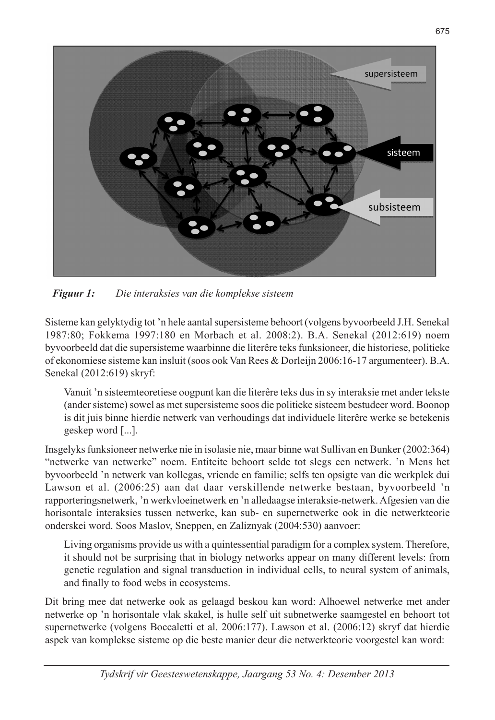

*Figuur 1: Die interaksies van die komplekse sisteem*

Sisteme kan gelyktydig tot 'n hele aantal supersisteme behoort (volgens byvoorbeeld J.H. Senekal 1987:80; Fokkema 1997:180 en Morbach et al. 2008:2). B.A. Senekal (2012:619) noem byvoorbeeld dat die supersisteme waarbinne die literêre teks funksioneer, die historiese, politieke of ekonomiese sisteme kan insluit (soos ook Van Rees & Dorleijn 2006:16-17 argumenteer). B.A. Senekal (2012:619) skryf:

Vanuit 'n sisteemteoretiese oogpunt kan die literêre teks dus in sy interaksie met ander tekste (ander sisteme) sowel as met supersisteme soos die politieke sisteem bestudeer word. Boonop is dit juis binne hierdie netwerk van verhoudings dat individuele literêre werke se betekenis geskep word [...].

Insgelyks funksioneer netwerke nie in isolasie nie, maar binne wat Sullivan en Bunker (2002:364) "netwerke van netwerke" noem. Entiteite behoort selde tot slegs een netwerk. 'n Mens het byvoorbeeld 'n netwerk van kollegas, vriende en familie; selfs ten opsigte van die werkplek dui Lawson et al. (2006:25) aan dat daar verskillende netwerke bestaan, byvoorbeeld 'n rapporteringsnetwerk, 'n werkvloeinetwerk en 'n alledaagse interaksie-netwerk. Afgesien van die horisontale interaksies tussen netwerke, kan sub- en supernetwerke ook in die netwerkteorie onderskei word. Soos Maslov, Sneppen, en Zaliznyak (2004:530) aanvoer:

Living organisms provide us with a quintessential paradigm for a complex system. Therefore, it should not be surprising that in biology networks appear on many different levels: from genetic regulation and signal transduction in individual cells, to neural system of animals, and finally to food webs in ecosystems.

Dit bring mee dat netwerke ook as gelaagd beskou kan word: Alhoewel netwerke met ander netwerke op 'n horisontale vlak skakel, is hulle self uit subnetwerke saamgestel en behoort tot supernetwerke (volgens Boccaletti et al. 2006:177). Lawson et al. (2006:12) skryf dat hierdie aspek van komplekse sisteme op die beste manier deur die netwerkteorie voorgestel kan word: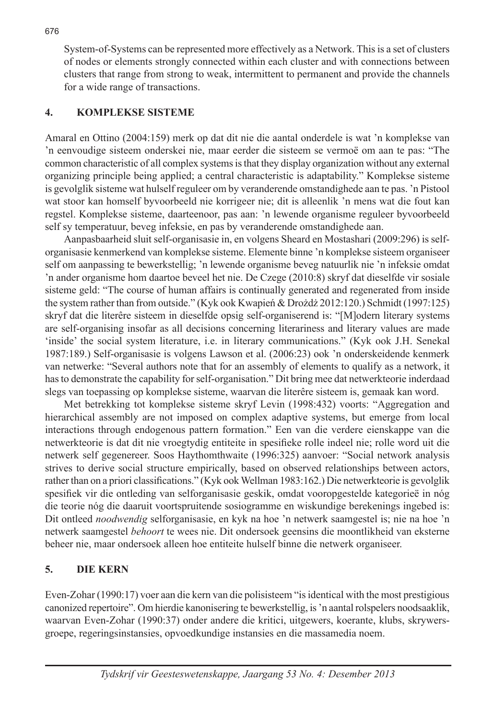System-of-Systems can be represented more effectively as a Network. This is a set of clusters of nodes or elements strongly connected within each cluster and with connections between clusters that range from strong to weak, intermittent to permanent and provide the channels for a wide range of transactions.

## **4. KOMPLEKSE SISTEME**

Amaral en Ottino (2004:159) merk op dat dit nie die aantal onderdele is wat 'n komplekse van 'n eenvoudige sisteem onderskei nie, maar eerder die sisteem se vermoë om aan te pas: "The common characteristic of all complex systems is that they display organization without any external organizing principle being applied; a central characteristic is adaptability." Komplekse sisteme is gevolglik sisteme wat hulself reguleer om by veranderende omstandighede aan te pas. 'n Pistool wat stoor kan homself byvoorbeeld nie korrigeer nie; dit is alleenlik 'n mens wat die fout kan regstel. Komplekse sisteme, daarteenoor, pas aan: 'n lewende organisme reguleer byvoorbeeld self sy temperatuur, beveg infeksie, en pas by veranderende omstandighede aan.

Aanpasbaarheid sluit self-organisasie in, en volgens Sheard en Mostashari (2009:296) is selforganisasie kenmerkend van komplekse sisteme. Elemente binne 'n komplekse sisteem organiseer self om aanpassing te bewerkstellig; 'n lewende organisme beveg natuurlik nie 'n infeksie omdat 'n ander organisme hom daartoe beveel het nie. De Czege (2010:8) skryf dat dieselfde vir sosiale sisteme geld: "The course of human affairs is continually generated and regenerated from inside the system rather than from outside." (Kyk ook Kwapień & Drożdż 2012:120.) Schmidt (1997:125) skryf dat die literêre sisteem in dieselfde opsig self-organiserend is: "[M]odern literary systems are self-organising insofar as all decisions concerning literariness and literary values are made 'inside' the social system literature, i.e. in literary communications." (Kyk ook J.H. Senekal 1987:189.) Self-organisasie is volgens Lawson et al. (2006:23) ook 'n onderskeidende kenmerk van netwerke: "Several authors note that for an assembly of elements to qualify as a network, it has to demonstrate the capability for self-organisation." Dit bring mee dat netwerkteorie inderdaad slegs van toepassing op komplekse sisteme, waarvan die literêre sisteem is, gemaak kan word.

Met betrekking tot komplekse sisteme skryf Levin (1998:432) voorts: "Aggregation and hierarchical assembly are not imposed on complex adaptive systems, but emerge from local interactions through endogenous pattern formation." Een van die verdere eienskappe van die netwerkteorie is dat dit nie vroegtydig entiteite in spesifieke rolle indeel nie; rolle word uit die netwerk self gegenereer. Soos Haythomthwaite (1996:325) aanvoer: "Social network analysis strives to derive social structure empirically, based on observed relationships between actors, rather than on a priori classifications." (Kyk ook Wellman 1983:162.) Die netwerkteorie is gevolglik spesifiek vir die ontleding van selforganisasie geskik, omdat vooropgestelde kategorieë in nóg die teorie nóg die daaruit voortspruitende sosiogramme en wiskundige berekenings ingebed is: Dit ontleed *noodwendig* selforganisasie, en kyk na hoe 'n netwerk saamgestel is; nie na hoe 'n netwerk saamgestel *behoort* te wees nie. Dit ondersoek geensins die moontlikheid van eksterne beheer nie, maar ondersoek alleen hoe entiteite hulself binne die netwerk organiseer.

# **5. DIE KERN**

Even-Zohar (1990:17) voer aan die kern van die polisisteem "is identical with the most prestigious canonized repertoire". Om hierdie kanonisering te bewerkstellig, is 'n aantal rolspelers noodsaaklik, waarvan Even-Zohar (1990:37) onder andere die kritici, uitgewers, koerante, klubs, skrywersgroepe, regeringsinstansies, opvoedkundige instansies en die massamedia noem.

676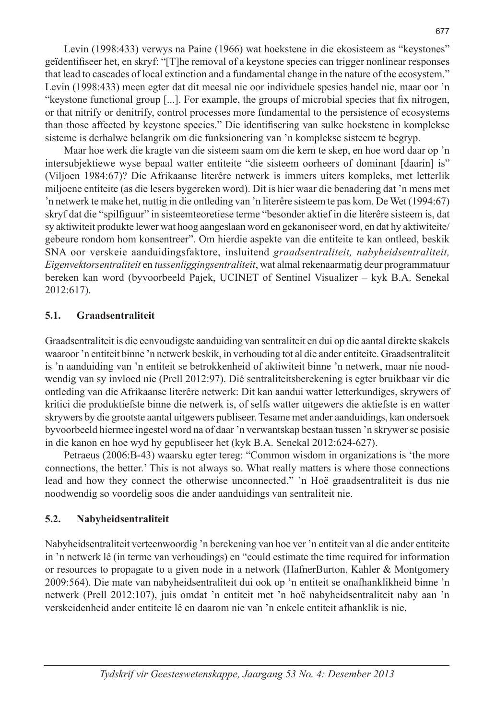Levin (1998:433) verwys na Paine (1966) wat hoekstene in die ekosisteem as "keystones" geïdentifiseer het, en skryf: "[T]he removal of a keystone species can trigger nonlinear responses that lead to cascades of local extinction and a fundamental change in the nature of the ecosystem." Levin (1998:433) meen egter dat dit meesal nie oor individuele spesies handel nie, maar oor 'n "keystone functional group [...]. For example, the groups of microbial species that fix nitrogen, or that nitrify or denitrify, control processes more fundamental to the persistence of ecosystems than those affected by keystone species." Die identifisering van sulke hoekstene in komplekse sisteme is derhalwe belangrik om die funksionering van 'n komplekse sisteem te begryp.

Maar hoe werk die kragte van die sisteem saam om die kern te skep, en hoe word daar op 'n intersubjektiewe wyse bepaal watter entiteite "die sisteem oorheers of dominant [daarin] is" (Viljoen 1984:67)? Die Afrikaanse literêre netwerk is immers uiters kompleks, met letterlik miljoene entiteite (as die lesers bygereken word). Dit is hier waar die benadering dat 'n mens met 'n netwerk te make het, nuttig in die ontleding van 'n literêre sisteem te pas kom. De Wet (1994:67) skryf dat die "spilfiguur" in sisteemteoretiese terme "besonder aktief in die literêre sisteem is, dat sy aktiwiteit produkte lewer wat hoog aangeslaan word en gekanoniseer word, en dat hy aktiwiteite/ gebeure rondom hom konsentreer". Om hierdie aspekte van die entiteite te kan ontleed, beskik SNA oor verskeie aanduidingsfaktore, insluitend *graadsentraliteit, nabyheidsentraliteit, Eigenvektorsentraliteit* en *tussenliggingsentraliteit*, wat almal rekenaarmatig deur programmatuur bereken kan word (byvoorbeeld Pajek, UCINET of Sentinel Visualizer – kyk B.A. Senekal 2012:617).

#### **5.1. Graadsentraliteit**

Graadsentraliteit is die eenvoudigste aanduiding van sentraliteit en dui op die aantal direkte skakels waaroor 'n entiteit binne 'n netwerk beskik, in verhouding tot al die ander entiteite. Graadsentraliteit is 'n aanduiding van 'n entiteit se betrokkenheid of aktiwiteit binne 'n netwerk, maar nie noodwendig van sy invloed nie (Prell 2012:97). Dié sentraliteitsberekening is egter bruikbaar vir die ontleding van die Afrikaanse literêre netwerk: Dit kan aandui watter letterkundiges, skrywers of kritici die produktiefste binne die netwerk is, of selfs watter uitgewers die aktiefste is en watter skrywers by die grootste aantal uitgewers publiseer. Tesame met ander aanduidings, kan ondersoek byvoorbeeld hiermee ingestel word na of daar 'n verwantskap bestaan tussen 'n skrywer se posisie in die kanon en hoe wyd hy gepubliseer het (kyk B.A. Senekal 2012:624-627).

Petraeus (2006:B-43) waarsku egter tereg: "Common wisdom in organizations is 'the more connections, the better.' This is not always so. What really matters is where those connections lead and how they connect the otherwise unconnected." 'n Hoë graadsentraliteit is dus nie noodwendig so voordelig soos die ander aanduidings van sentraliteit nie.

## **5.2. Nabyheidsentraliteit**

Nabyheidsentraliteit verteenwoordig 'n berekening van hoe ver 'n entiteit van al die ander entiteite in 'n netwerk lê (in terme van verhoudings) en "could estimate the time required for information or resources to propagate to a given node in a network (HafnerBurton, Kahler & Montgomery 2009:564). Die mate van nabyheidsentraliteit dui ook op 'n entiteit se onafhanklikheid binne 'n netwerk (Prell 2012:107), juis omdat 'n entiteit met 'n hoë nabyheidsentraliteit naby aan 'n verskeidenheid ander entiteite lê en daarom nie van 'n enkele entiteit afhanklik is nie.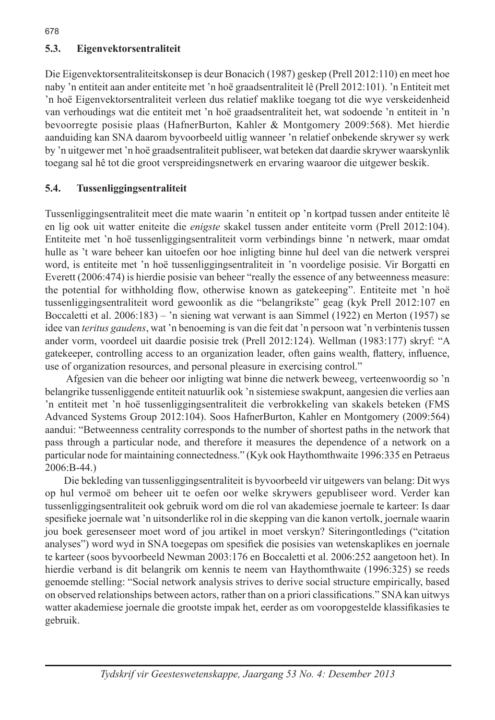## **5.3. Eigenvektorsentraliteit**

Die Eigenvektorsentraliteitskonsep is deur Bonacich (1987) geskep (Prell 2012:110) en meet hoe naby 'n entiteit aan ander entiteite met 'n hoë graadsentraliteit lê (Prell 2012:101). 'n Entiteit met 'n hoë Eigenvektorsentraliteit verleen dus relatief maklike toegang tot die wye verskeidenheid van verhoudings wat die entiteit met 'n hoë graadsentraliteit het, wat sodoende 'n entiteit in 'n bevoorregte posisie plaas (HafnerBurton, Kahler & Montgomery 2009:568). Met hierdie aanduiding kan SNA daarom byvoorbeeld uitlig wanneer 'n relatief onbekende skrywer sy werk by 'n uitgewer met 'n hoë graadsentraliteit publiseer, wat beteken dat daardie skrywer waarskynlik toegang sal hê tot die groot verspreidingsnetwerk en ervaring waaroor die uitgewer beskik.

#### **5.4. Tussenliggingsentraliteit**

Tussenliggingsentraliteit meet die mate waarin 'n entiteit op 'n kortpad tussen ander entiteite lê en lig ook uit watter eniteite die *enigste* skakel tussen ander entiteite vorm (Prell 2012:104). Entiteite met 'n hoë tussenliggingsentraliteit vorm verbindings binne 'n netwerk, maar omdat hulle as 't ware beheer kan uitoefen oor hoe inligting binne hul deel van die netwerk versprei word, is entiteite met 'n hoë tussenliggingsentraliteit in 'n voordelige posisie. Vir Borgatti en Everett (2006:474) is hierdie posisie van beheer "really the essence of any betweenness measure: the potential for withholding flow, otherwise known as gatekeeping". Entiteite met 'n hoë tussenliggingsentraliteit word gewoonlik as die "belangrikste" geag (kyk Prell 2012:107 en Boccaletti et al. 2006:183) – 'n siening wat verwant is aan Simmel (1922) en Merton (1957) se idee van *teritus gaudens*, wat 'n benoeming is van die feit dat 'n persoon wat 'n verbintenis tussen ander vorm, voordeel uit daardie posisie trek (Prell 2012:124). Wellman (1983:177) skryf: "A gatekeeper, controlling access to an organization leader, often gains wealth, flattery, influence, use of organization resources, and personal pleasure in exercising control."

 Afgesien van die beheer oor inligting wat binne die netwerk beweeg, verteenwoordig so 'n belangrike tussenliggende entiteit natuurlik ook 'n sistemiese swakpunt, aangesien die verlies aan 'n entiteit met 'n hoë tussenliggingsentraliteit die verbrokkeling van skakels beteken (FMS Advanced Systems Group 2012:104). Soos HafnerBurton, Kahler en Montgomery (2009:564) aandui: "Betweenness centrality corresponds to the number of shortest paths in the network that pass through a particular node, and therefore it measures the dependence of a network on a particular node for maintaining connectedness." (Kyk ook Haythomthwaite 1996:335 en Petraeus 2006:B-44.)

Die bekleding van tussenliggingsentraliteit is byvoorbeeld vir uitgewers van belang: Dit wys op hul vermoë om beheer uit te oefen oor welke skrywers gepubliseer word. Verder kan tussenliggingsentraliteit ook gebruik word om die rol van akademiese joernale te karteer: Is daar spesifieke joernale wat 'n uitsonderlike rol in die skepping van die kanon vertolk, joernale waarin jou boek geresenseer moet word of jou artikel in moet verskyn? Siteringontledings ("citation analyses") word wyd in SNA toegepas om spesifiek die posisies van wetenskaplikes en joernale te karteer (soos byvoorbeeld Newman 2003:176 en Boccaletti et al. 2006:252 aangetoon het). In hierdie verband is dit belangrik om kennis te neem van Haythomthwaite (1996:325) se reeds genoemde stelling: "Social network analysis strives to derive social structure empirically, based on observed relationships between actors, rather than on a priori classifications." SNA kan uitwys watter akademiese joernale die grootste impak het, eerder as om vooropgestelde klassifikasies te gebruik.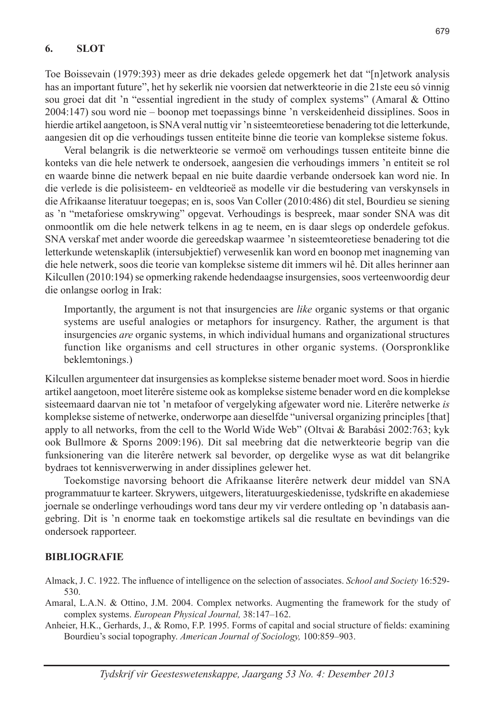#### **6. SLOT**

Toe Boissevain (1979:393) meer as drie dekades gelede opgemerk het dat "[n]etwork analysis has an important future", het hy sekerlik nie voorsien dat netwerkteorie in die 21ste eeu só vinnig sou groei dat dit 'n "essential ingredient in the study of complex systems" (Amaral & Ottino 2004:147) sou word nie – boonop met toepassings binne 'n verskeidenheid dissiplines. Soos in hierdie artikel aangetoon, is SNA veral nuttig vir 'n sisteemteoretiese benadering tot die letterkunde, aangesien dit op die verhoudings tussen entiteite binne die teorie van komplekse sisteme fokus.

Veral belangrik is die netwerkteorie se vermoë om verhoudings tussen entiteite binne die konteks van die hele netwerk te ondersoek, aangesien die verhoudings immers 'n entiteit se rol en waarde binne die netwerk bepaal en nie buite daardie verbande ondersoek kan word nie. In die verlede is die polisisteem- en veldteorieë as modelle vir die bestudering van verskynsels in die Afrikaanse literatuur toegepas; en is, soos Van Coller (2010:486) dit stel, Bourdieu se siening as 'n "metaforiese omskrywing" opgevat. Verhoudings is bespreek, maar sonder SNA was dit onmoontlik om die hele netwerk telkens in ag te neem, en is daar slegs op onderdele gefokus. SNA verskaf met ander woorde die gereedskap waarmee 'n sisteemteoretiese benadering tot die letterkunde wetenskaplik (intersubjektief) verwesenlik kan word en boonop met inagneming van die hele netwerk, soos die teorie van komplekse sisteme dit immers wil hê. Dit alles herinner aan Kilcullen (2010:194) se opmerking rakende hedendaagse insurgensies, soos verteenwoordig deur die onlangse oorlog in Irak:

Importantly, the argument is not that insurgencies are *like* organic systems or that organic systems are useful analogies or metaphors for insurgency. Rather, the argument is that insurgencies *are* organic systems, in which individual humans and organizational structures function like organisms and cell structures in other organic systems. (Oorspronklike beklemtonings.)

Kilcullen argumenteer dat insurgensies as komplekse sisteme benader moet word. Soos in hierdie artikel aangetoon, moet literêre sisteme ook as komplekse sisteme benader word en die komplekse sisteemaard daarvan nie tot 'n metafoor of vergelyking afgewater word nie. Literêre netwerke *is* komplekse sisteme of netwerke, onderworpe aan dieselfde "universal organizing principles [that] apply to all networks, from the cell to the World Wide Web" (Oltvai & Barabási 2002:763; kyk ook Bullmore & Sporns 2009:196). Dit sal meebring dat die netwerkteorie begrip van die funksionering van die literêre netwerk sal bevorder, op dergelike wyse as wat dit belangrike bydraes tot kennisverwerwing in ander dissiplines gelewer het.

Toekomstige navorsing behoort die Afrikaanse literêre netwerk deur middel van SNA programmatuur te karteer. Skrywers, uitgewers, literatuurgeskiedenisse, tydskrifte en akademiese joernale se onderlinge verhoudings word tans deur my vir verdere ontleding op 'n databasis aangebring. Dit is 'n enorme taak en toekomstige artikels sal die resultate en bevindings van die ondersoek rapporteer.

#### **BIBLIOGRAFIE**

Almack, J. C. 1922. The influence of intelligence on the selection of associates. *School and Society* 16:529- 530.

Amaral, L.A.N. & Ottino, J.M. 2004. Complex networks. Augmenting the framework for the study of complex systems. *European Physical Journal,* 38:147–162.

Anheier, H.K., Gerhards, J., & Romo, F.P. 1995. Forms of capital and social structure of fields: examining Bourdieu's social topography. *American Journal of Sociology,* 100:859–903.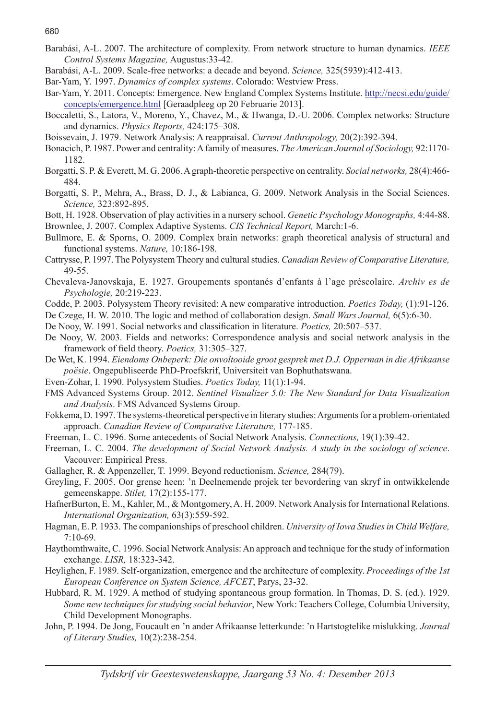- Barabási, A-L. 2007. The architecture of complexity. From network structure to human dynamics. *IEEE Control Systems Magazine,* Augustus:33-42.
- Barabási, A-L. 2009. Scale-free networks: a decade and beyond. *Science,* 325(5939):412-413.
- Bar-Yam, Y. 1997. *Dynamics of complex systems*. Colorado: Westview Press.
- Bar-Yam, Y. 2011. Concepts: Emergence. New England Complex Systems Institute. http://necsi.edu/guide/ concepts/emergence.html [Geraadpleeg op 20 Februarie 2013].
- Boccaletti, S., Latora, V., Moreno, Y., Chavez, M., & Hwanga, D.-U. 2006. Complex networks: Structure and dynamics. *Physics Reports,* 424:175–308.
- Boissevain, J. 1979. Network Analysis: A reappraisal. *Current Anthropology,* 20(2):392-394.
- Bonacich, P. 1987. Power and centrality: A family of measures. *The American Journal of Sociology,* 92:1170- 1182.
- Borgatti, S. P. & Everett, M. G. 2006. A graph-theoretic perspective on centrality. *Social networks,* 28(4):466- 484.
- Borgatti, S. P., Mehra, A., Brass, D. J., & Labianca, G. 2009. Network Analysis in the Social Sciences. *Science,* 323:892-895.
- Bott, H. 1928. Observation of play activities in a nursery school. *Genetic Psychology Monographs,* 4:44-88.

Brownlee, J. 2007. Complex Adaptive Systems. *CIS Technical Report,* March:1-6.

- Bullmore, E. & Sporns, O. 2009. Complex brain networks: graph theoretical analysis of structural and functional systems. *Nature,* 10:186-198.
- Cattrysse, P. 1997. The Polysystem Theory and cultural studies. *Canadian Review of Comparative Literature,* 49-55.
- Chevaleva-Janovskaja, E. 1927. Groupements spontanés d'enfants à l'age préscolaire. *Archiv es de Psychologie,* 20:219-223.
- Codde, P. 2003. Polysystem Theory revisited: A new comparative introduction. *Poetics Today,* (1):91-126.
- De Czege, H. W. 2010. The logic and method of collaboration design. *Small Wars Journal,* 6(5):6-30.
- De Nooy, W. 1991. Social networks and classification in literature. *Poetics,* 20:507–537.
- De Nooy, W. 2003. Fields and networks: Correspondence analysis and social network analysis in the framework of field theory. *Poetics,* 31:305–327.
- De Wet, K. 1994. *Eiendoms Onbeperk: Die onvoltooide groot gesprek met D.J. Opperman in die Afrikaanse poësie*. Ongepubliseerde PhD-Proefskrif, Universiteit van Bophuthatswana.
- Even-Zohar, I. 1990. Polysystem Studies. *Poetics Today,* 11(1):1-94.
- FMS Advanced Systems Group. 2012. *Sentinel Visualizer 5.0: The New Standard for Data Visualization and Analysis*. FMS Advanced Systems Group.
- Fokkema, D. 1997. The systems-theoretical perspective in literary studies: Arguments for a problem-orientated approach. *Canadian Review of Comparative Literature,* 177-185.
- Freeman, L. C. 1996. Some antecedents of Social Network Analysis. *Connections,* 19(1):39-42.
- Freeman, L. C. 2004. *The development of Social Network Analysis. A study in the sociology of science*. Vacouver: Empirical Press.
- Gallagher, R. & Appenzeller, T. 1999. Beyond reductionism. *Science,* 284(79).
- Greyling, F. 2005. Oor grense heen: 'n Deelnemende projek ter bevordering van skryf in ontwikkelende gemeenskappe. *Stilet,* 17(2):155-177.
- HafnerBurton, E. M., Kahler, M., & Montgomery, A. H. 2009. Network Analysis for International Relations. *International Organization,* 63(3):559-592.
- Hagman, E. P. 1933. The companionships of preschool children. *University of Iowa Studies in Child Welfare,* 7:10-69.
- Haythomthwaite, C. 1996. Social Network Analysis: An approach and technique for the study of information exchange. *LISR,* 18:323-342.
- Heylighen, F. 1989. Self-organization, emergence and the architecture of complexity. *Proceedings of the 1st European Conference on System Science, AFCET*, Parys, 23-32.
- Hubbard, R. M. 1929. A method of studying spontaneous group formation. In Thomas, D. S. (ed.). 1929. *Some new techniques for studying social behavior*, New York: Teachers College, Columbia University, Child Development Monographs.
- John, P. 1994. De Jong, Foucault en 'n ander Afrikaanse letterkunde: 'n Hartstogtelike mislukking. *Journal of Literary Studies,* 10(2):238-254.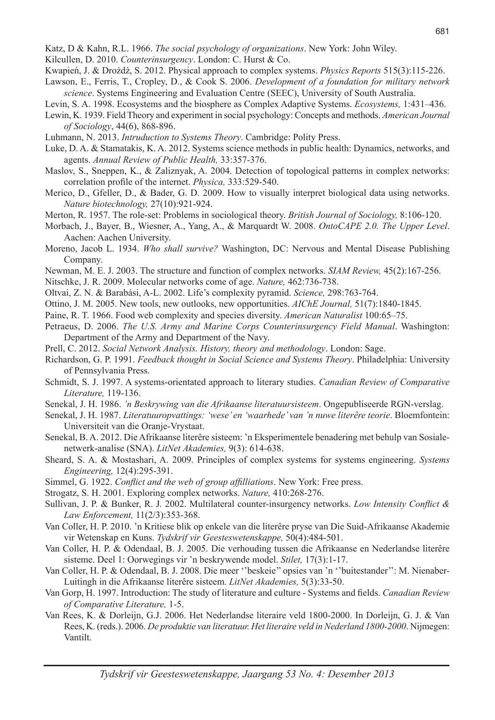- Katz, D & Kahn, R.L. 1966. *The social psychology of organizations*. New York: John Wiley.
- Kilcullen, D. 2010. *Counterinsurgency*. London: C. Hurst & Co.
- Kwapień, J. & Drożdż, S. 2012. Physical approach to complex systems. *Physics Reports* 515(3):115-226.
- Lawson, E., Ferris, T., Cropley, D., & Cook S. 2006. *Development of a foundation for military network science*. Systems Engineering and Evaluation Centre (SEEC), University of South Australia.
- Levin, S. A. 1998. Ecosystems and the biosphere as Complex Adaptive Systems. *Ecosystems,* 1:431–436.
- Lewin, K. 1939. Field Theory and experiment in social psychology: Concepts and methods. *American Journal of Sociology*, 44(6), 868-896.
- Luhmann, N. 2013. *Intruduction to Systems Theory*. Cambridge: Polity Press.
- Luke, D. A. & Stamatakis, K. A. 2012. Systems science methods in public health: Dynamics, networks, and agents. *Annual Review of Public Health,* 33:357-376.
- Maslov, S., Sneppen, K., & Zaliznyak, A. 2004. Detection of topological patterns in complex networks: correlation profile of the internet. *Physica,* 333:529-540.
- Merico, D., Gfeller, D., & Bader, G. D. 2009. How to visually interpret biological data using networks. *Nature biotechnology,* 27(10):921-924.
- Merton, R. 1957. The role-set: Problems in sociological theory. *British Journal of Sociology,* 8:106-120.
- Morbach, J., Bayer, B., Wiesner, A., Yang, A., & Marquardt W. 2008. *OntoCAPE 2.0. The Upper Level*. Aachen: Aachen University.
- Moreno, Jacob L. 1934. *Who shall survive?* Washington, DC: Nervous and Mental Disease Publishing Company.
- Newman, M. E. J. 2003. The structure and function of complex networks. *SIAM Review,* 45(2):167-256.
- Nitschke, J. R. 2009. Molecular networks come of age. *Nature,* 462:736-738.
- Oltvai, Z. N. & Barabási, A-L. 2002. Life's complexity pyramid. *Science,* 298:763-764.
- Ottino, J. M. 2005. New tools, new outlooks, new opportunities. *AIChE Journal,* 51(7):1840-1845.
- Paine, R. T. 1966. Food web complexity and species diversity. *American Naturalist* 100:65–75.
- Petraeus, D. 2006. *The U.S. Army and Marine Corps Counterinsurgency Field Manual*. Washington: Department of the Army and Department of the Navy.
- Prell, C. 2012. *Social Network Analysis. History, theory and methodology*. London: Sage.
- Richardson, G. P. 1991. *Feedback thought in Social Science and Systems Theory*. Philadelphia: University of Pennsylvania Press.
- Schmidt, S. J. 1997. A systems-orientated approach to literary studies. *Canadian Review of Comparative Literature,* 119-136.
- Senekal, J. H. 1986. *'n Beskrywing van die Afrikaanse literatuursisteem*. Ongepubliseerde RGN-verslag.
- Senekal, J. H. 1987. *Literatuuropvattings: 'wese' en 'waarhede' van 'n nuwe literêre teorie*. Bloemfontein: Universiteit van die Oranje-Vrystaat.
- Senekal, B. A. 2012. Die Afrikaanse literêre sisteem: 'n Eksperimentele benadering met behulp van Sosialenetwerk-analise (SNA). *LitNet Akademies,* 9(3): 614-638.
- Sheard, S. A. & Mostashari, A. 2009. Principles of complex systems for systems engineering. *Systems Engineering,* 12(4):295-391.
- Simmel, G. 1922. *Conflict and the web of group affilliations*. New York: Free press.
- Strogatz, S. H. 2001. Exploring complex networks. *Nature,* 410:268-276.
- Sullivan, J. P. & Bunker, R. J. 2002. Multilateral counter-insurgency networks. *Low Intensity Conflict & Law Enforcement,* 11(2/3):353-368.
- Van Coller, H. P. 2010. 'n Kritiese blik op enkele van die literêre pryse van Die Suid-Afrikaanse Akademie vir Wetenskap en Kuns. *Tydskrif vir Geesteswetenskappe,* 50(4):484-501.
- Van Coller, H. P. & Odendaal, B. J. 2005. Die verhouding tussen die Afrikaanse en Nederlandse literêre sisteme. Deel 1: Oorwegings vir 'n beskrywende model. *Stilet,* 17(3):1-17.
- Van Coller, H. P. & Odendaal, B. J. 2008. Die meer ''beskeie'' opsies van 'n ''buitestander'': M. Nienaber-Luitingh in die Afrikaanse literêre sisteem. *LitNet Akademies,* 5(3):33-50.
- Van Gorp, H. 1997. Introduction: The study of literature and culture Systems and fields. *Canadian Review of Comparative Literature,* 1-5.
- Van Rees, K. & Dorleijn, G.J. 2006. Het Nederlandse literaire veld 1800-2000. In Dorleijn, G. J. & Van Rees, K. (reds.). 2006. *De produktie van literatuur. Het literaire veld in Nederland 1800-2000*. Nijmegen: Vantilt.